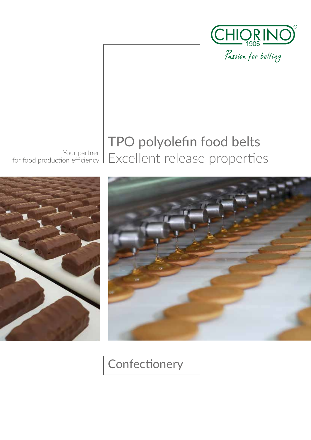

Your partner

## for food production efficiency | Excellent release properties TPO polyolefin food belts





**Confectionery**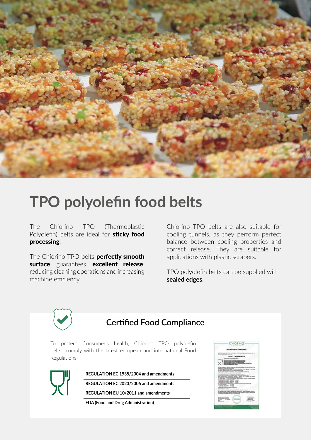

# **TPO polyolefin food belts**

The Chiorino TPO (Thermoplastic Polyolefin) belts are ideal for sticky food processing.

The Chiorino TPO belts **perfectly smooth** surface guarantees excellent release, reducing cleaning operations and increasing machine efficiency.

Chiorino TPO belts are also suitable for cooling tunnels, as they perform perfect balance between cooling properties and correct release. They are suitable for applications with plastic scrapers.

TPO polyolefin belts can be supplied with **sealed edges**.



To protect Consumer's health, Chiorino TPO polyolefin belts comply with the latest european and international Food Regulations:



**REGULATION EC 1935/2004 and amendments**

**REGULATION EC 2023/2006 and amendments**

**REGULATION EU 10/2011 and amendments**

**FDA (Food and Drug Administration)**

| CHIORINO                                                                                                                                                                                                                                                                                                                                                                                                                                                                                                                                                                           |
|------------------------------------------------------------------------------------------------------------------------------------------------------------------------------------------------------------------------------------------------------------------------------------------------------------------------------------------------------------------------------------------------------------------------------------------------------------------------------------------------------------------------------------------------------------------------------------|
|                                                                                                                                                                                                                                                                                                                                                                                                                                                                                                                                                                                    |
| Adjustments to be<br><b>COLOR</b>                                                                                                                                                                                                                                                                                                                                                                                                                                                                                                                                                  |
|                                                                                                                                                                                                                                                                                                                                                                                                                                                                                                                                                                                    |
| MAXIMUS<br>*******<br>page in cities<br><b>AVEC STAKE VEHR WIL HA</b><br><b>CARLOT UP</b><br>Total St. E. III<br>--<br>Cap H 1911<br><b>K. John Hallen</b><br>m<br><b>HOLD</b><br>--<br>.<br>œ<br>-<br>-<br>œ<br>٠<br><b>COMMERCIAL</b><br>dender parties and changes.<br>stands.<br>20.55<br>$= 1$<br><b>SHEET AND REAL PROPERTY</b><br>---<br>-<br>-<br>≕<br>$\frac{1}{2}$<br>$-100$<br>÷.<br>-<br>٠<br>$-10.44$<br>14<br><b>High Hard</b><br><b>CONTRACTOR</b><br><b>Window</b><br>-<br><b>ALCOHOL</b><br>---<br>÷<br>--<br>279<br>m<br>$-$<br><b>MTS 22 1992</b><br>٠<br><br>w |
| Scott and a posted at<br>---<br>×.<br>---<br>--<br>$-11$<br>--<br>۷<br>-<br>-<br>--                                                                                                                                                                                                                                                                                                                                                                                                                                                                                                |
|                                                                                                                                                                                                                                                                                                                                                                                                                                                                                                                                                                                    |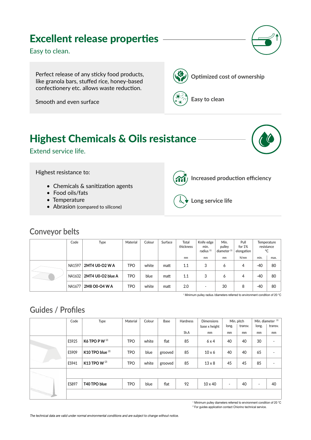## Excellent release properties

Easy to clean.

Perfect release of any sticky food products, like granola bars, stuffed rice, honey-based confectionery etc. allows waste reduction.

Smooth and even surface

**Optimized cost of ownership** 



**Easy to clean**

## Highest Chemicals & Oils resistance

Extend service life.



Highest resistance to:

- Chemicals & sanitization agents
- Food oils/fats
- Temperature

**Conveyor belts**

• Abrasion (compared to silicone)



**Increased production efficiency**



**Long service life**

#### Code | Type | Material Colour Surface | Total thickness Knife edge min. radius (1) Min. pulley diameter (1) Pull for 1% elongation Temperature resistance °C mm | mm | mm | N/mm | min. | max. NA1597 **2MT4 U0-O2 W A** TPO white matt 1.1 3 6 4 -40 80 NA1632 **2MT4 U0-O2 blue A** TPO blue matt 1.1 3 6 4 -40 80 NA1677 **2M8 O0-O4 W A** TPO white matt 2.0 - 30 8 -40 80

1 Minimum pulley radius /diameters referred to environment condition of 20 °C

## **Guides / Profiles**

| Code  | Type                                 | Material   | Colour | Base    | Hardness | <b>Dimensions</b> | Min. pitch               |         | Min. diameter <sup>(1)</sup> |                          |
|-------|--------------------------------------|------------|--------|---------|----------|-------------------|--------------------------|---------|------------------------------|--------------------------|
|       |                                      |            |        |         |          | base x height     | long.                    | transv. | long.                        | transv.                  |
|       |                                      |            |        |         | Sh.A     | mm                | mm                       | mm      | mm                           | mm                       |
| ES925 | K6 TPO PW $^{(2)}$                   | <b>TPO</b> | white  | flat    | 85       | 6x4               | 40                       | 40      | 30                           | $\overline{\phantom{a}}$ |
| ES909 | K10 TPO blue $(2)$                   | <b>TPO</b> | blue   | grooved | 85       | $10 \times 6$     | 40                       | 40      | 65                           | $\overline{\phantom{a}}$ |
| ES941 | K <sub>13</sub> TPO W <sup>(2)</sup> | <b>TPO</b> | white  | grooved | 85       | $13 \times 8$     | 45                       | 45      | 85                           | $\blacksquare$           |
|       |                                      |            |        |         |          |                   |                          |         |                              |                          |
| ES897 | T40 TPO blue                         | <b>TPO</b> | blue   | flat    | 92       | $10 \times 40$    | $\overline{\phantom{a}}$ | 40      | $\overline{\phantom{a}}$     | 40                       |
|       |                                      |            |        |         |          |                   |                          |         |                              |                          |

1 Minimum pulley diameters referred to environment condition of 20 °C 2 For guides application contact Chiorino technical service.

The technical data are valid under normal environmental conditions and are subject to change without notice.